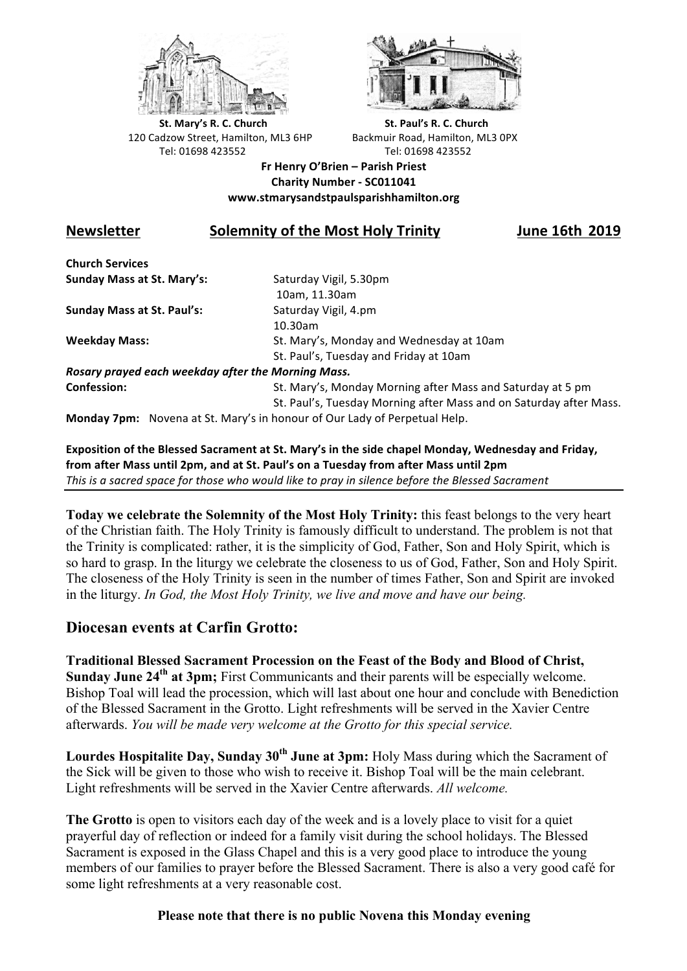



**St.** Mary's R. C. Church St. Paul's R. C. Church 120 Cadzow Street, Hamilton, ML3 6HP Backmuir Road, Hamilton, ML3 0PX Tel: 01698 423552 Tel: 01698 423552

**Fr Henry O'Brien – Parish Priest Charity Number - SC011041 www.stmarysandstpaulsparishhamilton.org**

## **Newsletter** Solemnity of the Most Holy Trinity **IUDENEY 18th** 2019

**Church Services Sunday Mass at St. Mary's:** Saturday Vigil, 5.30pm

**Sunday Mass at St. Paul's:** Saturday Vigil, 4.pm

 10am, 11.30am 10.30am **Weekday Mass:** St. Mary's, Monday and Wednesday at 10am St. Paul's, Tuesday and Friday at 10am

*Rosary prayed each weekday after the Morning Mass.* **Confession:** St. Mary's, Monday Morning after Mass and Saturday at 5 pm

St. Paul's, Tuesday Morning after Mass and on Saturday after Mass.

**Monday 7pm:** Novena at St. Mary's in honour of Our Lady of Perpetual Help.

Exposition of the Blessed Sacrament at St. Mary's in the side chapel Monday, Wednesday and Friday, from after Mass until 2pm, and at St. Paul's on a Tuesday from after Mass until 2pm This is a sacred space for those who would like to pray in silence before the Blessed Sacrament

**Today we celebrate the Solemnity of the Most Holy Trinity:** this feast belongs to the very heart of the Christian faith. The Holy Trinity is famously difficult to understand. The problem is not that the Trinity is complicated: rather, it is the simplicity of God, Father, Son and Holy Spirit, which is so hard to grasp. In the liturgy we celebrate the closeness to us of God, Father, Son and Holy Spirit. The closeness of the Holy Trinity is seen in the number of times Father, Son and Spirit are invoked in the liturgy. *In God, the Most Holy Trinity, we live and move and have our being.*

## **Diocesan events at Carfin Grotto:**

**Traditional Blessed Sacrament Procession on the Feast of the Body and Blood of Christ, Sunday June 24<sup>th</sup> at 3pm;** First Communicants and their parents will be especially welcome. Bishop Toal will lead the procession, which will last about one hour and conclude with Benediction of the Blessed Sacrament in the Grotto. Light refreshments will be served in the Xavier Centre afterwards. *You will be made very welcome at the Grotto for this special service.*

Lourdes Hospitalite Day, Sunday 30<sup>th</sup> June at 3pm: Holy Mass during which the Sacrament of the Sick will be given to those who wish to receive it. Bishop Toal will be the main celebrant. Light refreshments will be served in the Xavier Centre afterwards. *All welcome.*

**The Grotto** is open to visitors each day of the week and is a lovely place to visit for a quiet prayerful day of reflection or indeed for a family visit during the school holidays. The Blessed Sacrament is exposed in the Glass Chapel and this is a very good place to introduce the young members of our families to prayer before the Blessed Sacrament. There is also a very good café for some light refreshments at a very reasonable cost.

## **Please note that there is no public Novena this Monday evening**